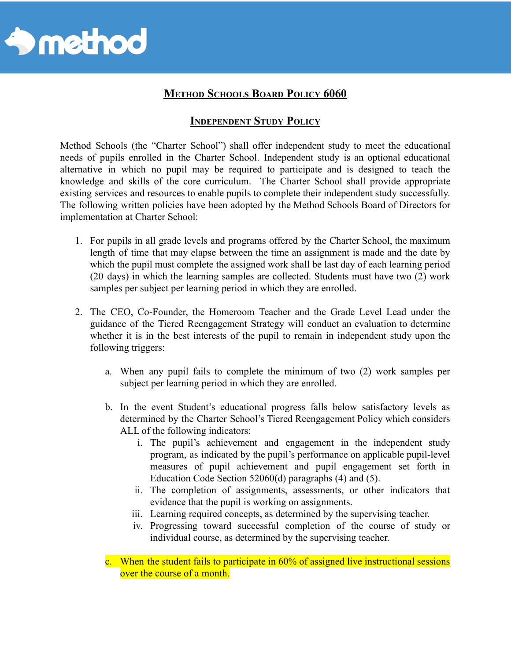

## **METHOD SCHOOLS BOARD POLICY 6060**

## **INDEPENDENT STUDY POLICY**

Method Schools (the "Charter School") shall offer independent study to meet the educational needs of pupils enrolled in the Charter School. Independent study is an optional educational alternative in which no pupil may be required to participate and is designed to teach the knowledge and skills of the core curriculum. The Charter School shall provide appropriate existing services and resources to enable pupils to complete their independent study successfully. The following written policies have been adopted by the Method Schools Board of Directors for implementation at Charter School:

- 1. For pupils in all grade levels and programs offered by the Charter School, the maximum length of time that may elapse between the time an assignment is made and the date by which the pupil must complete the assigned work shall be last day of each learning period (20 days) in which the learning samples are collected. Students must have two (2) work samples per subject per learning period in which they are enrolled.
- 2. The CEO, Co-Founder, the Homeroom Teacher and the Grade Level Lead under the guidance of the Tiered Reengagement Strategy will conduct an evaluation to determine whether it is in the best interests of the pupil to remain in independent study upon the following triggers:
	- a. When any pupil fails to complete the minimum of two (2) work samples per subject per learning period in which they are enrolled.
	- b. In the event Student's educational progress falls below satisfactory levels as determined by the Charter School's Tiered Reengagement Policy which considers ALL of the following indicators:
		- i. The pupil's achievement and engagement in the independent study program, as indicated by the pupil's performance on applicable pupil-level measures of pupil achievement and pupil engagement set forth in Education Code Section 52060(d) paragraphs (4) and (5).
		- ii. The completion of assignments, assessments, or other indicators that evidence that the pupil is working on assignments.
		- iii. Learning required concepts, as determined by the supervising teacher.
		- iv. Progressing toward successful completion of the course of study or individual course, as determined by the supervising teacher.
	- c. When the student fails to participate in 60% of assigned live instructional sessions over the course of a month.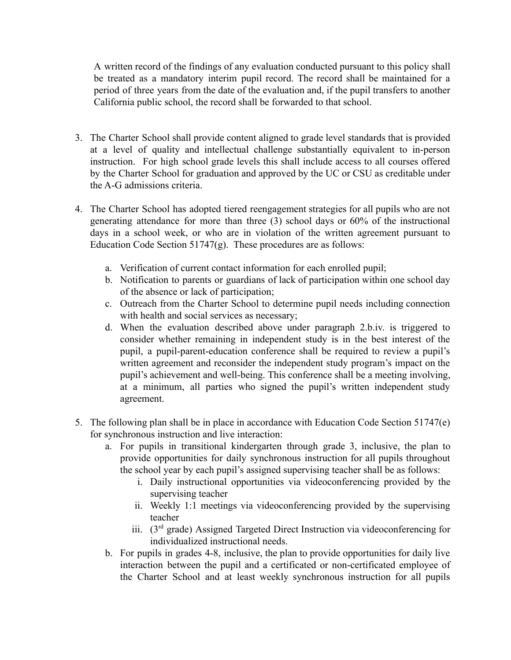A written record of the findings of any evaluation conducted pursuant to this policy shall be treated as a mandatory interim pupil record. The record shall be maintained for a period of three years from the date of the evaluation and, if the pupil transfers to another California public school, the record shall be forwarded to that school.

- 3. The Charter School shall provide content aligned to grade level standards that is provided at a level of quality and intellectual challenge substantially equivalent to in-person instruction. For high school grade levels this shall include access to all courses offered by the Charter School for graduation and approved by the UC or CSU as creditable under the A-G admissions criteria.
- 4. The Charter School has adopted tiered reengagement strategies for all pupils who are not generating attendance for more than three (3) school days or 60% of the instructional days in a school week, or who are in violation of the written agreement pursuant to Education Code Section 51747(g). These procedures are as follows:
	- a. Verification of current contact information for each enrolled pupil;
	- b. Notification to parents or guardians of lack of participation within one school day of the absence or lack of participation;
	- c. Outreach from the Charter School to determine pupil needs including connection with health and social services as necessary;
	- d. When the evaluation described above under paragraph 2.b.iv. is triggered to consider whether remaining in independent study is in the best interest of the pupil, a pupil-parent-education conference shall be required to review a pupil's written agreement and reconsider the independent study program's impact on the pupil's achievement and well-being. This conference shall be a meeting involving, at a minimum, all parties who signed the pupil's written independent study agreement.
- 5. The following plan shall be in place in accordance with Education Code Section 51747(e) for synchronous instruction and live interaction:
	- a. For pupils in transitional kindergarten through grade 3, inclusive, the plan to provide opportunities for daily synchronous instruction for all pupils throughout the school year by each pupil's assigned supervising teacher shall be as follows:
		- i. Daily instructional opportunities via videoconferencing provided by the supervising teacher
		- ii. Weekly 1:1 meetings via videoconferencing provided by the supervising teacher
		- iii.  $(3<sup>rd</sup> \text{ grade})$  Assigned Targeted Direct Instruction via videoconferencing for individualized instructional needs.
	- b. For pupils in grades 4-8, inclusive, the plan to provide opportunities for daily live interaction between the pupil and a certificated or non-certificated employee of the Charter School and at least weekly synchronous instruction for all pupils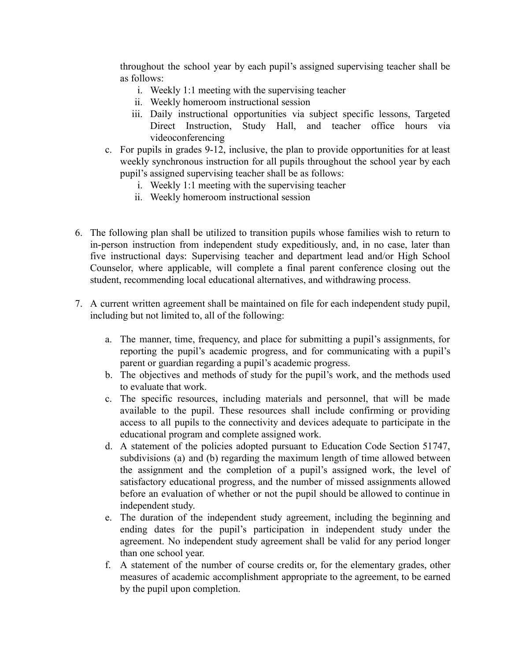throughout the school year by each pupil's assigned supervising teacher shall be as follows:

- i. Weekly 1:1 meeting with the supervising teacher
- ii. Weekly homeroom instructional session
- iii. Daily instructional opportunities via subject specific lessons, Targeted Direct Instruction, Study Hall, and teacher office hours via videoconferencing
- c. For pupils in grades 9-12, inclusive, the plan to provide opportunities for at least weekly synchronous instruction for all pupils throughout the school year by each pupil's assigned supervising teacher shall be as follows:
	- i. Weekly 1:1 meeting with the supervising teacher
	- ii. Weekly homeroom instructional session
- 6. The following plan shall be utilized to transition pupils whose families wish to return to in-person instruction from independent study expeditiously, and, in no case, later than five instructional days: Supervising teacher and department lead and/or High School Counselor, where applicable, will complete a final parent conference closing out the student, recommending local educational alternatives, and withdrawing process.
- 7. A current written agreement shall be maintained on file for each independent study pupil, including but not limited to, all of the following:
	- a. The manner, time, frequency, and place for submitting a pupil's assignments, for reporting the pupil's academic progress, and for communicating with a pupil's parent or guardian regarding a pupil's academic progress.
	- b. The objectives and methods of study for the pupil's work, and the methods used to evaluate that work.
	- c. The specific resources, including materials and personnel, that will be made available to the pupil. These resources shall include confirming or providing access to all pupils to the connectivity and devices adequate to participate in the educational program and complete assigned work.
	- d. A statement of the policies adopted pursuant to Education Code Section 51747, subdivisions (a) and (b) regarding the maximum length of time allowed between the assignment and the completion of a pupil's assigned work, the level of satisfactory educational progress, and the number of missed assignments allowed before an evaluation of whether or not the pupil should be allowed to continue in independent study.
	- e. The duration of the independent study agreement, including the beginning and ending dates for the pupil's participation in independent study under the agreement. No independent study agreement shall be valid for any period longer than one school year.
	- f. A statement of the number of course credits or, for the elementary grades, other measures of academic accomplishment appropriate to the agreement, to be earned by the pupil upon completion.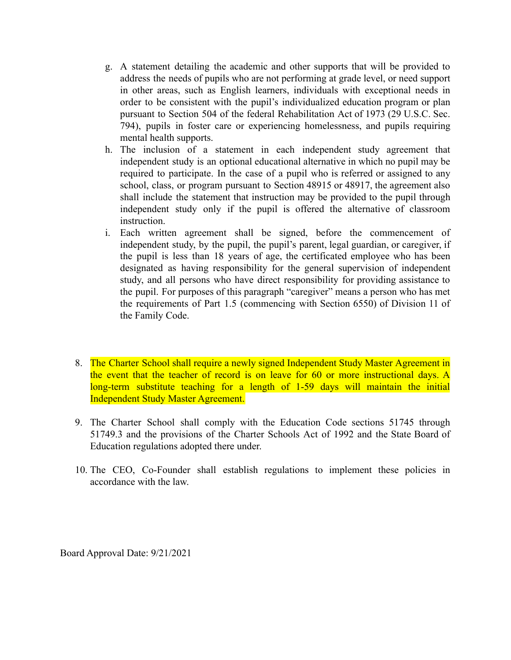- g. A statement detailing the academic and other supports that will be provided to address the needs of pupils who are not performing at grade level, or need support in other areas, such as English learners, individuals with exceptional needs in order to be consistent with the pupil's individualized education program or plan pursuant to Section 504 of the federal Rehabilitation Act of 1973 (29 U.S.C. Sec. 794), pupils in foster care or experiencing homelessness, and pupils requiring mental health supports.
- h. The inclusion of a statement in each independent study agreement that independent study is an optional educational alternative in which no pupil may be required to participate. In the case of a pupil who is referred or assigned to any school, class, or program pursuant to Section 48915 or 48917, the agreement also shall include the statement that instruction may be provided to the pupil through independent study only if the pupil is offered the alternative of classroom instruction.
- i. Each written agreement shall be signed, before the commencement of independent study, by the pupil, the pupil's parent, legal guardian, or caregiver, if the pupil is less than 18 years of age, the certificated employee who has been designated as having responsibility for the general supervision of independent study, and all persons who have direct responsibility for providing assistance to the pupil. For purposes of this paragraph "caregiver" means a person who has met the requirements of Part 1.5 (commencing with Section 6550) of Division 11 of the Family Code.
- 8. The Charter School shall require a newly signed Independent Study Master Agreement in the event that the teacher of record is on leave for 60 or more instructional days. A long-term substitute teaching for a length of 1-59 days will maintain the initial Independent Study Master Agreement.
- 9. The Charter School shall comply with the Education Code sections 51745 through 51749.3 and the provisions of the Charter Schools Act of 1992 and the State Board of Education regulations adopted there under.
- 10. The CEO, Co-Founder shall establish regulations to implement these policies in accordance with the law.

Board Approval Date: 9/21/2021